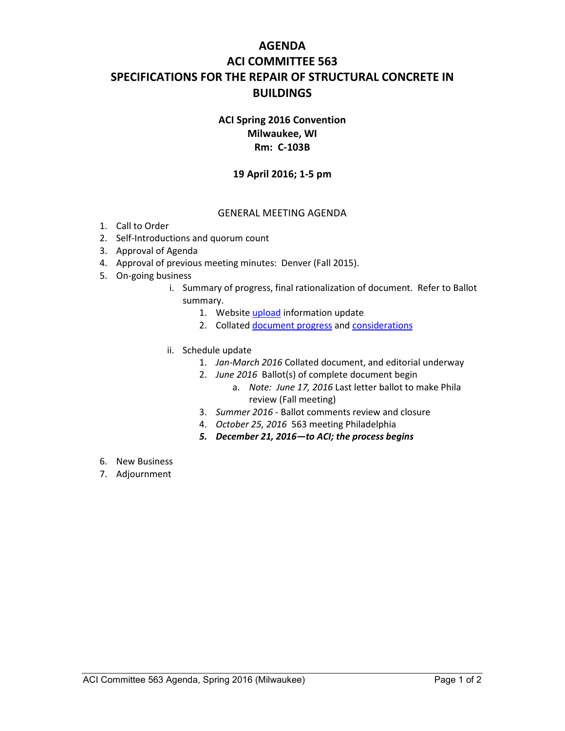# **AGENDA ACI COMMITTEE 563 SPECIFICATIONS FOR THE REPAIR OF STRUCTURAL CONCRETE IN BUILDINGS**

## **ACI Spring 2016 Convention Milwaukee, WI Rm: C-103B**

### **19 April 2016; 1-5 pm**

#### GENERAL MEETING AGENDA

- 1. Call to Order
- 2. Self-Introductions and quorum count
- 3. Approval of Agenda
- 4. Approval of previous meeting minutes: Denver (Fall 2015).
- 5. On-going business
	- i. Summary of progress, final rationalization of document. Refer to Ballot summary.
		- 1. Website upload information update
		- 2. Collated document progress and considerations
	- ii. Schedule update
		- 1. *Jan-March 2016* Collated document, and editorial underway
		- 2. *June 2016* Ballot(s) of complete document begin
			- a. *Note: June 17, 2016* Last letter ballot to make Phila review (Fall meeting)
		- 3. *Summer 2016* Ballot comments review and closure
		- 4. *October 25, 2016* 563 meeting Philadelphia
		- *5. December 21, 2016—to ACI; the process begins*
- 6. New Business
- 7. Adjournment